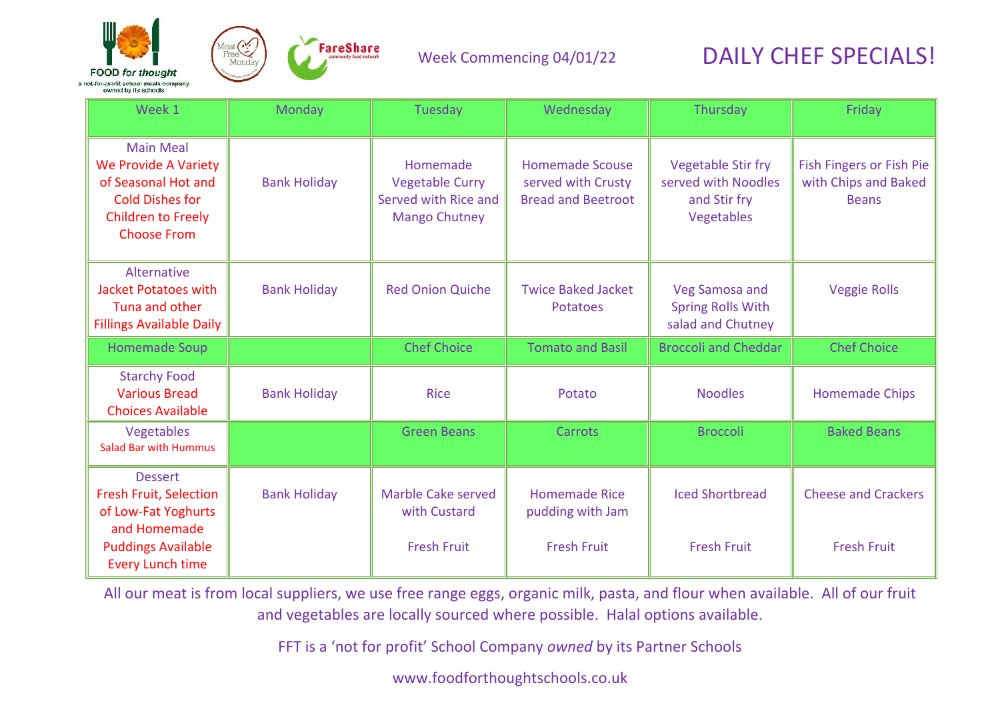



#### Week Commencing 04/01/22

# DAILY CHEF SPECIALS!

| Week 1                                                                                                                                              | Monday              | Tuesday                                                                            | Wednesday                                                                 | Thursday                                                                       | Friday                                                           |
|-----------------------------------------------------------------------------------------------------------------------------------------------------|---------------------|------------------------------------------------------------------------------------|---------------------------------------------------------------------------|--------------------------------------------------------------------------------|------------------------------------------------------------------|
| <b>Main Meal</b><br><b>We Provide A Variety</b><br>of Seasonal Hot and<br><b>Cold Dishes for</b><br><b>Children to Freely</b><br><b>Choose From</b> | <b>Bank Holiday</b> | Homemade<br><b>Vegetable Curry</b><br>Served with Rice and<br><b>Mango Chutney</b> | <b>Homemade Scouse</b><br>served with Crusty<br><b>Bread and Beetroot</b> | <b>Vegetable Stir fry</b><br>served with Noodles<br>and Stir fry<br>Vegetables | Fish Fingers or Fish Pie<br>with Chips and Baked<br><b>Beans</b> |
| Alternative<br><b>Jacket Potatoes with</b><br>Tuna and other<br><b>Fillings Available Daily</b>                                                     | <b>Bank Holiday</b> | <b>Red Onion Quiche</b>                                                            | <b>Twice Baked Jacket</b><br><b>Potatoes</b>                              | Veg Samosa and<br><b>Spring Rolls With</b><br>salad and Chutney                | <b>Veggie Rolls</b>                                              |
| <b>Homemade Soup</b>                                                                                                                                |                     | <b>Chef Choice</b>                                                                 | <b>Tomato and Basil</b>                                                   | <b>Broccoli and Cheddar</b>                                                    | <b>Chef Choice</b>                                               |
| <b>Starchy Food</b><br><b>Various Bread</b><br><b>Choices Available</b>                                                                             | <b>Bank Holiday</b> | <b>Rice</b>                                                                        | Potato                                                                    | <b>Noodles</b>                                                                 | <b>Homemade Chips</b>                                            |
| Vegetables<br><b>Salad Bar with Hummus</b>                                                                                                          |                     | <b>Green Beans</b>                                                                 | Carrots                                                                   | <b>Broccoli</b>                                                                | <b>Baked Beans</b>                                               |
| <b>Dessert</b><br><b>Fresh Fruit, Selection</b><br>of Low-Fat Yoghurts<br>and Homemade<br><b>Puddings Available</b><br><b>Every Lunch time</b>      | <b>Bank Holiday</b> | <b>Marble Cake served</b><br>with Custard<br><b>Fresh Fruit</b>                    | <b>Homemade Rice</b><br>pudding with Jam<br><b>Fresh Fruit</b>            | <b>Iced Shortbread</b><br><b>Fresh Fruit</b>                                   | <b>Cheese and Crackers</b><br><b>Fresh Fruit</b>                 |

All our meat is from local suppliers, we use free range eggs, organic milk, pasta, and flour when available. All of our fruit and vegetables are locally sourced where possible. Halal options available.

FFT is a 'not for profit' School Company *owned* by its Partner Schools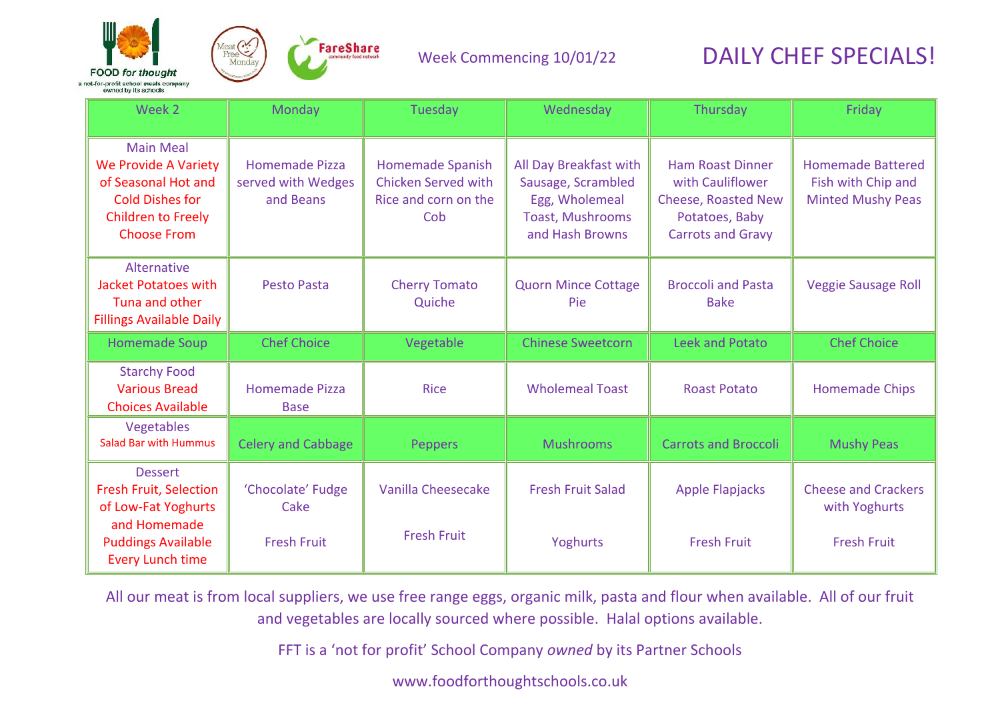



| Week 2                                                                                                                                              | Monday                                                   | Tuesday                                                                       | Wednesday                                                                                             | Thursday                                                                                                                | Friday                                                                     |
|-----------------------------------------------------------------------------------------------------------------------------------------------------|----------------------------------------------------------|-------------------------------------------------------------------------------|-------------------------------------------------------------------------------------------------------|-------------------------------------------------------------------------------------------------------------------------|----------------------------------------------------------------------------|
| <b>Main Meal</b><br><b>We Provide A Variety</b><br>of Seasonal Hot and<br><b>Cold Dishes for</b><br><b>Children to Freely</b><br><b>Choose From</b> | <b>Homemade Pizza</b><br>served with Wedges<br>and Beans | Homemade Spanish<br><b>Chicken Served with</b><br>Rice and corn on the<br>Cob | All Day Breakfast with<br>Sausage, Scrambled<br>Egg, Wholemeal<br>Toast, Mushrooms<br>and Hash Browns | <b>Ham Roast Dinner</b><br>with Cauliflower<br><b>Cheese, Roasted New</b><br>Potatoes, Baby<br><b>Carrots and Gravy</b> | <b>Homemade Battered</b><br>Fish with Chip and<br><b>Minted Mushy Peas</b> |
| Alternative<br><b>Jacket Potatoes with</b><br>Tuna and other<br><b>Fillings Available Daily</b>                                                     | <b>Pesto Pasta</b>                                       | <b>Cherry Tomato</b><br>Quiche                                                | <b>Quorn Mince Cottage</b><br>Pie                                                                     | <b>Broccoli and Pasta</b><br><b>Bake</b>                                                                                | <b>Veggie Sausage Roll</b>                                                 |
| <b>Homemade Soup</b>                                                                                                                                | <b>Chef Choice</b>                                       | Vegetable                                                                     | <b>Chinese Sweetcorn</b>                                                                              | <b>Leek and Potato</b>                                                                                                  | <b>Chef Choice</b>                                                         |
| <b>Starchy Food</b><br><b>Various Bread</b><br><b>Choices Available</b>                                                                             | <b>Homemade Pizza</b><br><b>Base</b>                     | <b>Rice</b>                                                                   | <b>Wholemeal Toast</b>                                                                                | <b>Roast Potato</b>                                                                                                     | <b>Homemade Chips</b>                                                      |
| Vegetables<br><b>Salad Bar with Hummus</b>                                                                                                          | <b>Celery and Cabbage</b>                                | <b>Peppers</b>                                                                | <b>Mushrooms</b>                                                                                      | <b>Carrots and Broccoli</b>                                                                                             | <b>Mushy Peas</b>                                                          |
| <b>Dessert</b><br><b>Fresh Fruit, Selection</b><br>of Low-Fat Yoghurts<br>and Homemade                                                              | 'Chocolate' Fudge<br>Cake                                | Vanilla Cheesecake                                                            | <b>Fresh Fruit Salad</b>                                                                              | <b>Apple Flapjacks</b>                                                                                                  | <b>Cheese and Crackers</b><br>with Yoghurts                                |
| <b>Puddings Available</b><br><b>Every Lunch time</b>                                                                                                | <b>Fresh Fruit</b>                                       | <b>Fresh Fruit</b>                                                            | Yoghurts                                                                                              | <b>Fresh Fruit</b>                                                                                                      | <b>Fresh Fruit</b>                                                         |

All our meat is from local suppliers, we use free range eggs, organic milk, pasta and flour when available. All of our fruit and vegetables are locally sourced where possible. Halal options available.

FFT is a 'not for profit' School Company *owned* by its Partner Schools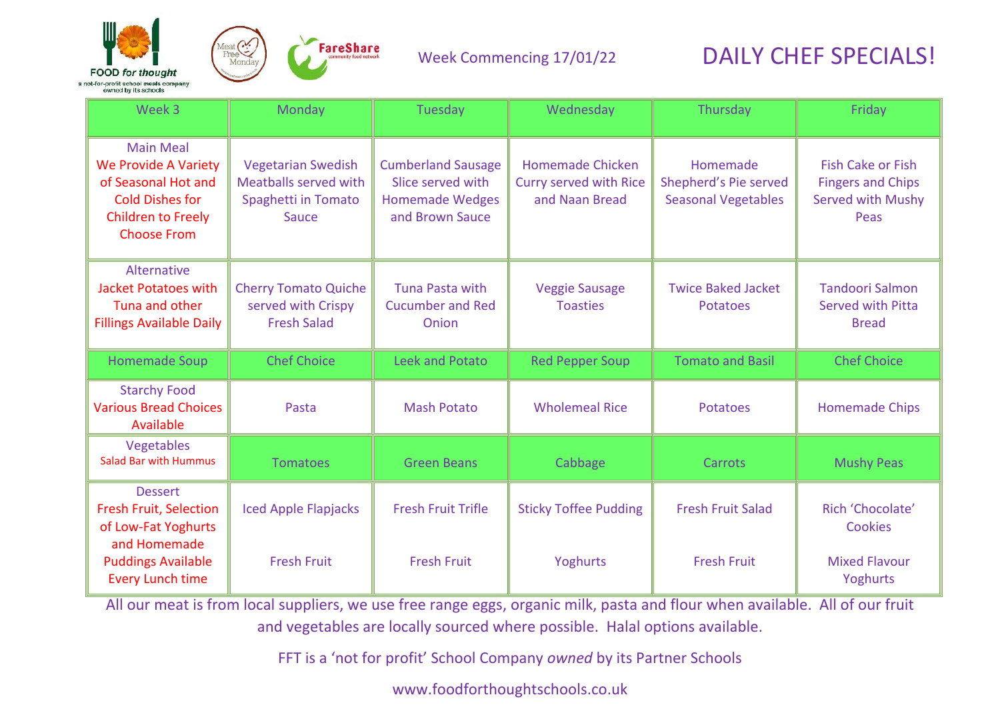



| Week 3                                                                                                                                              | Monday                                                                             | Tuesday                                                                                     | Wednesday                                                           | Thursday                                                        | Friday                                                                                   |
|-----------------------------------------------------------------------------------------------------------------------------------------------------|------------------------------------------------------------------------------------|---------------------------------------------------------------------------------------------|---------------------------------------------------------------------|-----------------------------------------------------------------|------------------------------------------------------------------------------------------|
| <b>Main Meal</b><br><b>We Provide A Variety</b><br>of Seasonal Hot and<br><b>Cold Dishes for</b><br><b>Children to Freely</b><br><b>Choose From</b> | <b>Vegetarian Swedish</b><br>Meatballs served with<br>Spaghetti in Tomato<br>Sauce | <b>Cumberland Sausage</b><br>Slice served with<br><b>Homemade Wedges</b><br>and Brown Sauce | Homemade Chicken<br><b>Curry served with Rice</b><br>and Naan Bread | Homemade<br>Shepherd's Pie served<br><b>Seasonal Vegetables</b> | <b>Fish Cake or Fish</b><br><b>Fingers and Chips</b><br><b>Served with Mushy</b><br>Peas |
| Alternative<br><b>Jacket Potatoes with</b><br>Tuna and other<br><b>Fillings Available Daily</b>                                                     | <b>Cherry Tomato Quiche</b><br>served with Crispy<br><b>Fresh Salad</b>            | <b>Tuna Pasta with</b><br><b>Cucumber and Red</b><br>Onion                                  | <b>Veggie Sausage</b><br><b>Toasties</b>                            | <b>Twice Baked Jacket</b><br><b>Potatoes</b>                    | <b>Tandoori Salmon</b><br><b>Served with Pitta</b><br><b>Bread</b>                       |
| <b>Homemade Soup</b>                                                                                                                                | <b>Chef Choice</b>                                                                 | Leek and Potato                                                                             | <b>Red Pepper Soup</b>                                              | <b>Tomato and Basil</b>                                         | <b>Chef Choice</b>                                                                       |
| <b>Starchy Food</b><br><b>Various Bread Choices</b><br>Available                                                                                    | Pasta                                                                              | <b>Mash Potato</b>                                                                          | <b>Wholemeal Rice</b>                                               | <b>Potatoes</b>                                                 | <b>Homemade Chips</b>                                                                    |
| Vegetables<br><b>Salad Bar with Hummus</b>                                                                                                          | <b>Tomatoes</b>                                                                    | <b>Green Beans</b>                                                                          | Cabbage                                                             | Carrots                                                         | <b>Mushy Peas</b>                                                                        |
| <b>Dessert</b><br><b>Fresh Fruit, Selection</b><br>of Low-Fat Yoghurts<br>and Homemade                                                              | <b>Iced Apple Flapjacks</b>                                                        | <b>Fresh Fruit Trifle</b>                                                                   | <b>Sticky Toffee Pudding</b>                                        | <b>Fresh Fruit Salad</b>                                        | Rich 'Chocolate'<br>Cookies                                                              |
| <b>Puddings Available</b><br><b>Every Lunch time</b>                                                                                                | <b>Fresh Fruit</b>                                                                 | <b>Fresh Fruit</b>                                                                          | Yoghurts                                                            | <b>Fresh Fruit</b>                                              | <b>Mixed Flavour</b><br>Yoghurts                                                         |

All our meat is from local suppliers, we use free range eggs, organic milk, pasta and flour when available. All of our fruit and vegetables are locally sourced where possible. Halal options available.

FFT is a 'not for profit' School Company *owned* by its Partner Schools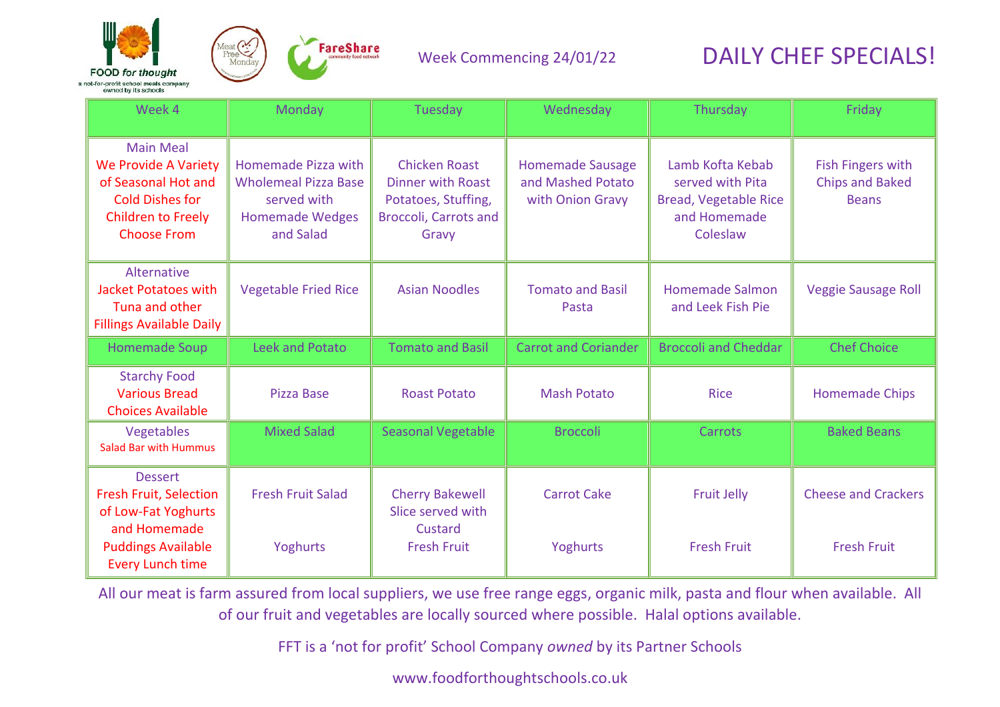



| Week 4                                                                                                                                              | Monday                                                                                                   | Tuesday                                                                                                          | Wednesday                                                        | Thursday                                                                                         | Friday                                                      |
|-----------------------------------------------------------------------------------------------------------------------------------------------------|----------------------------------------------------------------------------------------------------------|------------------------------------------------------------------------------------------------------------------|------------------------------------------------------------------|--------------------------------------------------------------------------------------------------|-------------------------------------------------------------|
| <b>Main Meal</b><br><b>We Provide A Variety</b><br>of Seasonal Hot and<br><b>Cold Dishes for</b><br><b>Children to Freely</b><br><b>Choose From</b> | Homemade Pizza with<br><b>Wholemeal Pizza Base</b><br>served with<br><b>Homemade Wedges</b><br>and Salad | <b>Chicken Roast</b><br><b>Dinner with Roast</b><br>Potatoes, Stuffing,<br><b>Broccoli, Carrots and</b><br>Gravy | <b>Homemade Sausage</b><br>and Mashed Potato<br>with Onion Gravy | Lamb Kofta Kebab<br>served with Pita<br><b>Bread, Vegetable Rice</b><br>and Homemade<br>Coleslaw | Fish Fingers with<br><b>Chips and Baked</b><br><b>Beans</b> |
| Alternative<br><b>Jacket Potatoes with</b><br>Tuna and other<br><b>Fillings Available Daily</b>                                                     | <b>Vegetable Fried Rice</b>                                                                              | <b>Asian Noodles</b>                                                                                             | <b>Tomato and Basil</b><br>Pasta                                 | <b>Homemade Salmon</b><br>and Leek Fish Pie                                                      | <b>Veggie Sausage Roll</b>                                  |
| <b>Homemade Soup</b>                                                                                                                                | Leek and Potato                                                                                          | <b>Tomato and Basil</b>                                                                                          | <b>Carrot and Coriander</b>                                      | <b>Broccoli and Cheddar</b>                                                                      | <b>Chef Choice</b>                                          |
| <b>Starchy Food</b><br><b>Various Bread</b><br><b>Choices Available</b>                                                                             | <b>Pizza Base</b>                                                                                        | <b>Roast Potato</b>                                                                                              | <b>Mash Potato</b>                                               | <b>Rice</b>                                                                                      | <b>Homemade Chips</b>                                       |
| Vegetables<br><b>Salad Bar with Hummus</b>                                                                                                          | <b>Mixed Salad</b>                                                                                       | <b>Seasonal Vegetable</b>                                                                                        | <b>Broccoli</b>                                                  | <b>Carrots</b>                                                                                   | <b>Baked Beans</b>                                          |
| <b>Dessert</b><br><b>Fresh Fruit, Selection</b><br>of Low-Fat Yoghurts<br>and Homemade                                                              | <b>Fresh Fruit Salad</b>                                                                                 | <b>Cherry Bakewell</b><br>Slice served with<br>Custard                                                           | <b>Carrot Cake</b>                                               | <b>Fruit Jelly</b>                                                                               | <b>Cheese and Crackers</b>                                  |
| <b>Puddings Available</b><br><b>Every Lunch time</b>                                                                                                | Yoghurts                                                                                                 | <b>Fresh Fruit</b>                                                                                               | Yoghurts                                                         | <b>Fresh Fruit</b>                                                                               | <b>Fresh Fruit</b>                                          |

All our meat is farm assured from local suppliers, we use free range eggs, organic milk, pasta and flour when available. All of our fruit and vegetables are locally sourced where possible. Halal options available.

FFT is a 'not for profit' School Company *owned* by its Partner Schools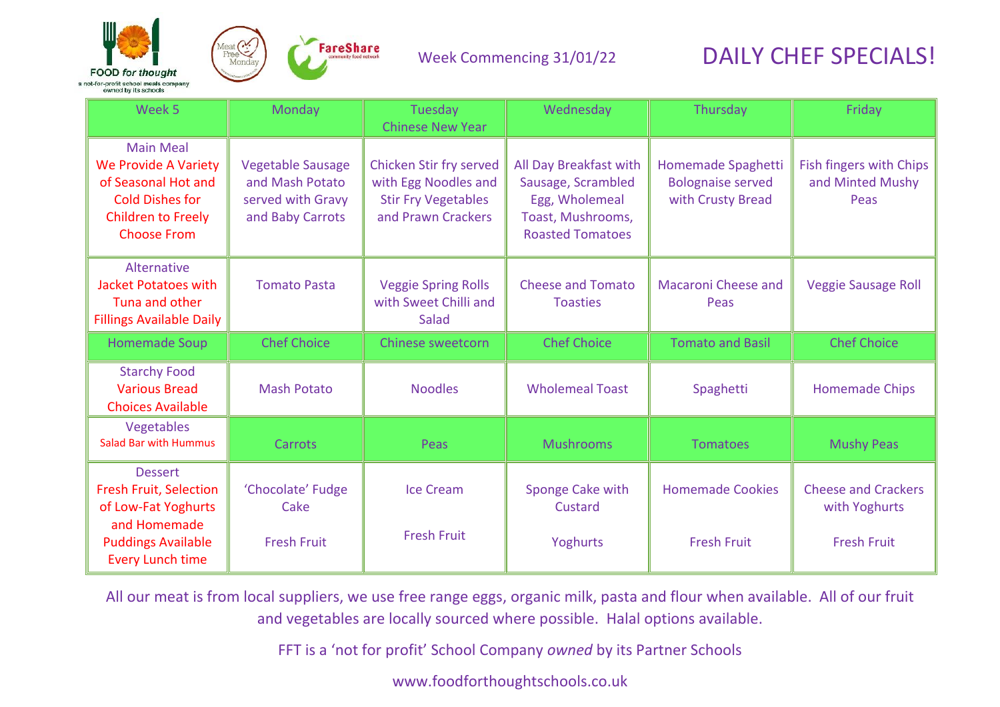



| Week 5                                                                                                                                              | Monday                                                                               | Tuesday<br><b>Chinese New Year</b>                                                                         | Wednesday                                                                                                      | Thursday                                                            | Friday                                                            |
|-----------------------------------------------------------------------------------------------------------------------------------------------------|--------------------------------------------------------------------------------------|------------------------------------------------------------------------------------------------------------|----------------------------------------------------------------------------------------------------------------|---------------------------------------------------------------------|-------------------------------------------------------------------|
| <b>Main Meal</b><br><b>We Provide A Variety</b><br>of Seasonal Hot and<br><b>Cold Dishes for</b><br><b>Children to Freely</b><br><b>Choose From</b> | <b>Vegetable Sausage</b><br>and Mash Potato<br>served with Gravy<br>and Baby Carrots | <b>Chicken Stir fry served</b><br>with Egg Noodles and<br><b>Stir Fry Vegetables</b><br>and Prawn Crackers | All Day Breakfast with<br>Sausage, Scrambled<br>Egg, Wholemeal<br>Toast, Mushrooms,<br><b>Roasted Tomatoes</b> | Homemade Spaghetti<br><b>Bolognaise served</b><br>with Crusty Bread | Fish fingers with Chips<br>and Minted Mushy<br>Peas               |
| Alternative<br><b>Jacket Potatoes with</b><br>Tuna and other<br><b>Fillings Available Daily</b>                                                     | <b>Tomato Pasta</b>                                                                  | <b>Veggie Spring Rolls</b><br>with Sweet Chilli and<br>Salad                                               | <b>Cheese and Tomato</b><br><b>Toasties</b>                                                                    | <b>Macaroni Cheese and</b><br>Peas                                  | <b>Veggie Sausage Roll</b>                                        |
| <b>Homemade Soup</b>                                                                                                                                | <b>Chef Choice</b>                                                                   | Chinese sweetcorn                                                                                          | <b>Chef Choice</b>                                                                                             | <b>Tomato and Basil</b>                                             | <b>Chef Choice</b>                                                |
| <b>Starchy Food</b><br><b>Various Bread</b><br><b>Choices Available</b>                                                                             | <b>Mash Potato</b>                                                                   | <b>Noodles</b>                                                                                             | <b>Wholemeal Toast</b>                                                                                         | Spaghetti                                                           | <b>Homemade Chips</b>                                             |
| Vegetables<br><b>Salad Bar with Hummus</b>                                                                                                          | Carrots                                                                              | Peas                                                                                                       | <b>Mushrooms</b>                                                                                               | <b>Tomatoes</b>                                                     | <b>Mushy Peas</b>                                                 |
| <b>Dessert</b><br><b>Fresh Fruit, Selection</b><br>of Low-Fat Yoghurts<br>and Homemade<br><b>Puddings Available</b><br><b>Every Lunch time</b>      | 'Chocolate' Fudge<br>Cake<br><b>Fresh Fruit</b>                                      | <b>Ice Cream</b><br><b>Fresh Fruit</b>                                                                     | Sponge Cake with<br>Custard<br>Yoghurts                                                                        | <b>Homemade Cookies</b><br><b>Fresh Fruit</b>                       | <b>Cheese and Crackers</b><br>with Yoghurts<br><b>Fresh Fruit</b> |

All our meat is from local suppliers, we use free range eggs, organic milk, pasta and flour when available. All of our fruit and vegetables are locally sourced where possible. Halal options available.

FFT is a 'not for profit' School Company *owned* by its Partner Schools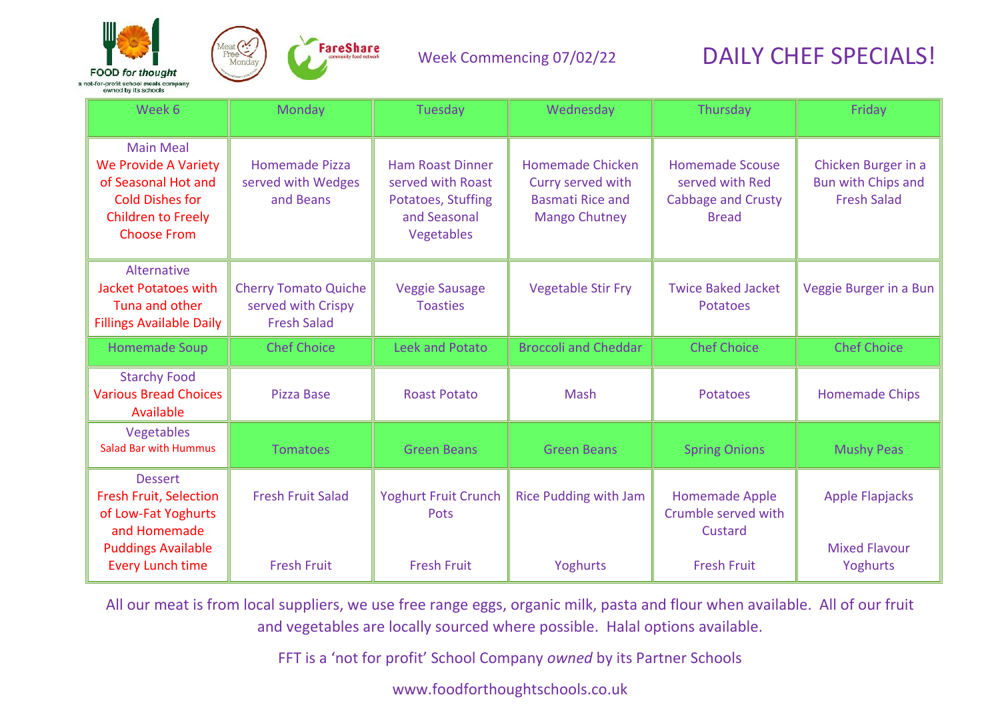



#### Week Commencing 07/02/22

# DAILY CHEF SPECIALS!

| Week 6                                                                                                                                              | Monday                                                                  | Tuesday                                                                                          | Wednesday                                                                                | Thursday                                                                        | Friday                                                                 |
|-----------------------------------------------------------------------------------------------------------------------------------------------------|-------------------------------------------------------------------------|--------------------------------------------------------------------------------------------------|------------------------------------------------------------------------------------------|---------------------------------------------------------------------------------|------------------------------------------------------------------------|
| <b>Main Meal</b><br><b>We Provide A Variety</b><br>of Seasonal Hot and<br><b>Cold Dishes for</b><br><b>Children to Freely</b><br><b>Choose From</b> | <b>Homemade Pizza</b><br>served with Wedges<br>and Beans                | <b>Ham Roast Dinner</b><br>served with Roast<br>Potatoes, Stuffing<br>and Seasonal<br>Vegetables | Homemade Chicken<br>Curry served with<br><b>Basmati Rice and</b><br><b>Mango Chutney</b> | <b>Homemade Scouse</b><br>served with Red<br>Cabbage and Crusty<br><b>Bread</b> | Chicken Burger in a<br><b>Bun with Chips and</b><br><b>Fresh Salad</b> |
| Alternative<br><b>Jacket Potatoes with</b><br>Tuna and other<br><b>Fillings Available Daily</b>                                                     | <b>Cherry Tomato Quiche</b><br>served with Crispy<br><b>Fresh Salad</b> | <b>Veggie Sausage</b><br><b>Toasties</b>                                                         | <b>Vegetable Stir Fry</b>                                                                | <b>Twice Baked Jacket</b><br><b>Potatoes</b>                                    | Veggie Burger in a Bun                                                 |
| <b>Homemade Soup</b>                                                                                                                                | <b>Chef Choice</b>                                                      | <b>Leek and Potato</b>                                                                           | <b>Broccoli and Cheddar</b>                                                              | <b>Chef Choice</b>                                                              | <b>Chef Choice</b>                                                     |
| <b>Starchy Food</b><br><b>Various Bread Choices</b><br>Available                                                                                    | <b>Pizza Base</b>                                                       | <b>Roast Potato</b>                                                                              | Mash                                                                                     | Potatoes                                                                        | <b>Homemade Chips</b>                                                  |
| Vegetables<br><b>Salad Bar with Hummus</b>                                                                                                          | <b>Tomatoes</b>                                                         | <b>Green Beans</b>                                                                               | <b>Green Beans</b>                                                                       | <b>Spring Onions</b>                                                            | <b>Mushy Peas</b>                                                      |
| <b>Dessert</b><br><b>Fresh Fruit, Selection</b><br>of Low-Fat Yoghurts<br>and Homemade<br><b>Puddings Available</b>                                 | <b>Fresh Fruit Salad</b>                                                | <b>Yoghurt Fruit Crunch</b><br>Pots                                                              | <b>Rice Pudding with Jam</b>                                                             | Homemade Apple<br>Crumble served with<br>Custard                                | <b>Apple Flapjacks</b><br><b>Mixed Flavour</b>                         |
| <b>Every Lunch time</b>                                                                                                                             | <b>Fresh Fruit</b>                                                      | <b>Fresh Fruit</b>                                                                               | Yoghurts                                                                                 | <b>Fresh Fruit</b>                                                              | Yoghurts                                                               |

All our meat is from local suppliers, we use free range eggs, organic milk, pasta and flour when available. All of our fruit and vegetables are locally sourced where possible. Halal options available.

FFT is a 'not for profit' School Company *owned* by its Partner Schools